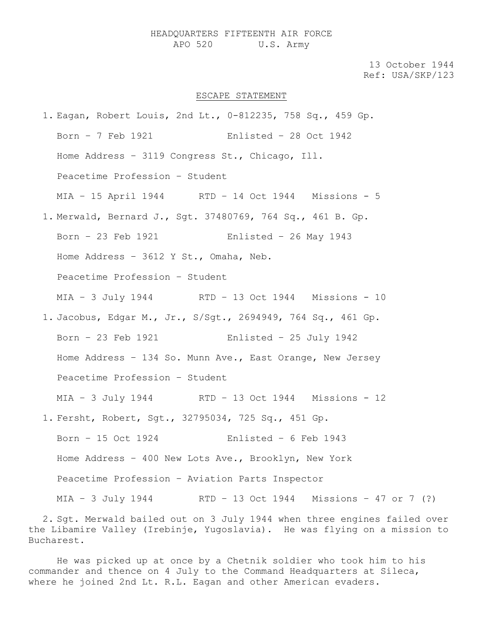## HEADQUARTERS FIFTEENTH AIR FORCE APO 520 U.S. Army

13 October 1944 Ref: USA/SKP/123

## ESCAPE STATEMENT

1. Eagan, Robert Louis, 2nd Lt., 0-812235, 758 Sq., 459 Gp. Born – 7 Feb 1921 Enlisted – 28 Oct 1942 Home Address – 3119 Congress St., Chicago, Ill. Peacetime Profession – Student MIA – 15 April 1944 RTD – 14 Oct 1944 Missions - 5 1. Merwald, Bernard J., Sgt. 37480769, 764 Sq., 461 B. Gp. Born – 23 Feb 1921 Enlisted – 26 May 1943 Home Address – 3612 Y St., Omaha, Neb. Peacetime Profession – Student MIA – 3 July 1944 RTD – 13 Oct 1944 Missions - 10 1. Jacobus, Edgar M., Jr., S/Sgt., 2694949, 764 Sq., 461 Gp. Born – 23 Feb 1921 Enlisted – 25 July 1942 Home Address – 134 So. Munn Ave., East Orange, New Jersey Peacetime Profession – Student MIA – 3 July 1944 RTD – 13 Oct 1944 Missions - 12 1. Fersht, Robert, Sgt., 32795034, 725 Sq., 451 Gp. Born – 15 Oct 1924 Enlisted – 6 Feb 1943 Home Address – 400 New Lots Ave., Brooklyn, New York Peacetime Profession – Aviation Parts Inspector MIA – 3 July 1944 RTD – 13 Oct 1944 Missions – 47 or 7 (?)

2. Sgt. Merwald bailed out on 3 July 1944 when three engines failed over the Libamire Valley (Irebinje, Yugoslavia). He was flying on a mission to Bucharest.

He was picked up at once by a Chetnik soldier who took him to his commander and thence on 4 July to the Command Headquarters at Sileca, where he joined 2nd Lt. R.L. Eagan and other American evaders.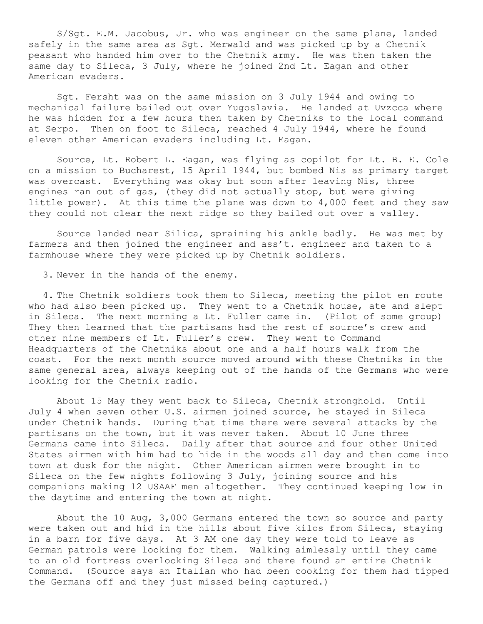S/Sgt. E.M. Jacobus, Jr. who was engineer on the same plane, landed safely in the same area as Sgt. Merwald and was picked up by a Chetnik peasant who handed him over to the Chetnik army. He was then taken the same day to Sileca, 3 July, where he joined 2nd Lt. Eagan and other American evaders.

Sgt. Fersht was on the same mission on 3 July 1944 and owing to mechanical failure bailed out over Yugoslavia. He landed at Uvzcca where he was hidden for a few hours then taken by Chetniks to the local command at Serpo. Then on foot to Sileca, reached 4 July 1944, where he found eleven other American evaders including Lt. Eagan.

Source, Lt. Robert L. Eagan, was flying as copilot for Lt. B. E. Cole on a mission to Bucharest, 15 April 1944, but bombed Nis as primary target was overcast. Everything was okay but soon after leaving Nis, three engines ran out of gas, (they did not actually stop, but were giving little power). At this time the plane was down to 4,000 feet and they saw they could not clear the next ridge so they bailed out over a valley.

Source landed near Silica, spraining his ankle badly. He was met by farmers and then joined the engineer and ass't. engineer and taken to a farmhouse where they were picked up by Chetnik soldiers.

3. Never in the hands of the enemy.

4. The Chetnik soldiers took them to Sileca, meeting the pilot en route who had also been picked up. They went to a Chetnik house, ate and slept in Sileca. The next morning a Lt. Fuller came in. (Pilot of some group) They then learned that the partisans had the rest of source's crew and other nine members of Lt. Fuller's crew. They went to Command Headquarters of the Chetniks about one and a half hours walk from the coast. For the next month source moved around with these Chetniks in the same general area, always keeping out of the hands of the Germans who were looking for the Chetnik radio.

About 15 May they went back to Sileca, Chetnik stronghold. Until July 4 when seven other U.S. airmen joined source, he stayed in Sileca under Chetnik hands. During that time there were several attacks by the partisans on the town, but it was never taken. About 10 June three Germans came into Sileca. Daily after that source and four other United States airmen with him had to hide in the woods all day and then come into town at dusk for the night. Other American airmen were brought in to Sileca on the few nights following 3 July, joining source and his companions making 12 USAAF men altogether. They continued keeping low in the daytime and entering the town at night.

About the 10 Aug, 3,000 Germans entered the town so source and party were taken out and hid in the hills about five kilos from Sileca, staying in a barn for five days. At 3 AM one day they were told to leave as German patrols were looking for them. Walking aimlessly until they came to an old fortress overlooking Sileca and there found an entire Chetnik Command. (Source says an Italian who had been cooking for them had tipped the Germans off and they just missed being captured.)